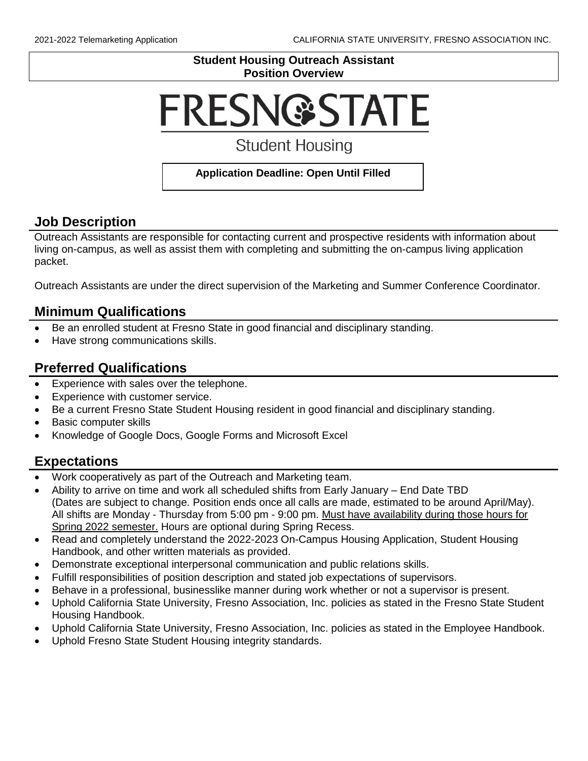#### **Student Housing Outreach Assistant Position Overview**

# **FRESN@STATE**

# **Student Housing**

#### **Application Deadline: Open Until Filled**

## **Job Description**

Outreach Assistants are responsible for contacting current and prospective residents with information about living on-campus, as well as assist them with completing and submitting the on-campus living application packet.

Outreach Assistants are under the direct supervision of the Marketing and Summer Conference Coordinator.

#### **Minimum Qualifications**

- Be an enrolled student at Fresno State in good financial and disciplinary standing.
- Have strong communications skills.

## **Preferred Qualifications**

- Experience with sales over the telephone.
- Experience with customer service.
- Be a current Fresno State Student Housing resident in good financial and disciplinary standing.
- Basic computer skills
- Knowledge of Google Docs, Google Forms and Microsoft Excel

#### **Expectations**

- Work cooperatively as part of the Outreach and Marketing team.
- Ability to arrive on time and work all scheduled shifts from Early January End Date TBD (Dates are subject to change. Position ends once all calls are made, estimated to be around April/May). All shifts are Monday - Thursday from 5:00 pm - 9:00 pm. Must have availability during those hours for Spring 2022 semester. Hours are optional during Spring Recess.
- Read and completely understand the 2022-2023 On-Campus Housing Application, Student Housing Handbook, and other written materials as provided.
- Demonstrate exceptional interpersonal communication and public relations skills.
- Fulfill responsibilities of position description and stated job expectations of supervisors.
- Behave in a professional, businesslike manner during work whether or not a supervisor is present.
- Uphold California State University, Fresno Association, Inc. policies as stated in the Fresno State Student Housing Handbook.
- Uphold California State University, Fresno Association, Inc. policies as stated in the Employee Handbook.
- Uphold Fresno State Student Housing integrity standards.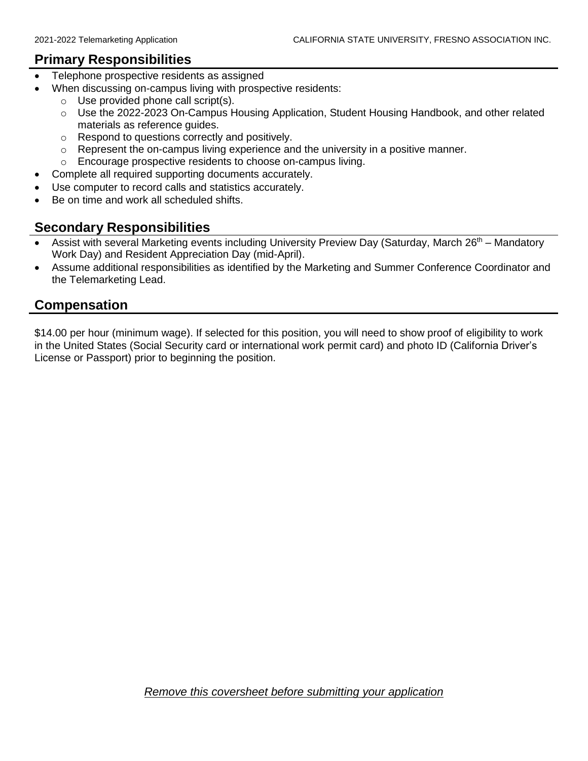#### **Primary Responsibilities**

- Telephone prospective residents as assigned
- When discussing on-campus living with prospective residents:
	- o Use provided phone call script(s).
	- $\circ$  Use the 2022-2023 On-Campus Housing Application, Student Housing Handbook, and other related materials as reference guides.
	- o Respond to questions correctly and positively.
	- o Represent the on-campus living experience and the university in a positive manner.
	- o Encourage prospective residents to choose on-campus living.
- Complete all required supporting documents accurately.
- Use computer to record calls and statistics accurately.
- Be on time and work all scheduled shifts.

#### **Secondary Responsibilities**

- Assist with several Marketing events including University Preview Day (Saturday, March 26<sup>th</sup> Mandatory Work Day) and Resident Appreciation Day (mid-April).
- Assume additional responsibilities as identified by the Marketing and Summer Conference Coordinator and the Telemarketing Lead.

## **Compensation**

\$14.00 per hour (minimum wage). If selected for this position, you will need to show proof of eligibility to work in the United States (Social Security card or international work permit card) and photo ID (California Driver's License or Passport) prior to beginning the position.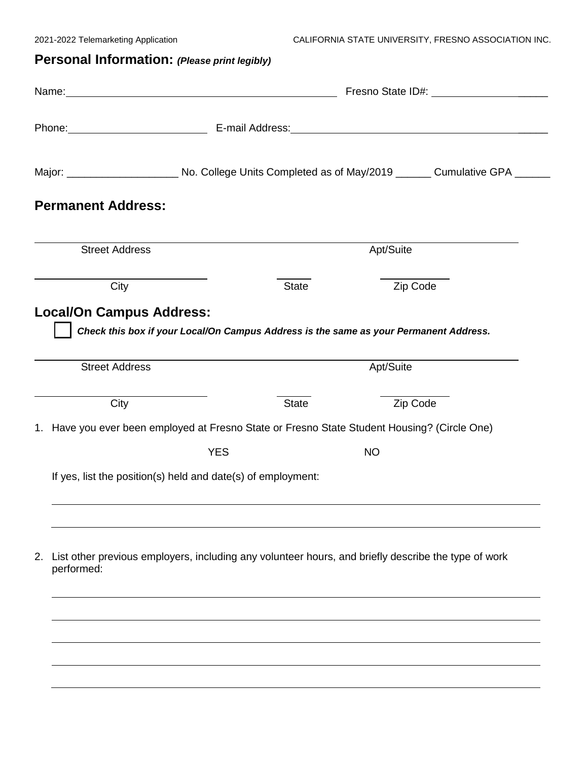# **Personal Information:** *(Please print legibly)*

| <b>Street Address</b> |                                         | Apt/Suite                       |                                                                             |                                                                                                                                                                                                                                                                                                                                                                                                                                                                                                                                |  |
|-----------------------|-----------------------------------------|---------------------------------|-----------------------------------------------------------------------------|--------------------------------------------------------------------------------------------------------------------------------------------------------------------------------------------------------------------------------------------------------------------------------------------------------------------------------------------------------------------------------------------------------------------------------------------------------------------------------------------------------------------------------|--|
| City                  |                                         | <b>State</b><br>Zip Code        |                                                                             |                                                                                                                                                                                                                                                                                                                                                                                                                                                                                                                                |  |
| <b>Street Address</b> |                                         | Apt/Suite                       |                                                                             |                                                                                                                                                                                                                                                                                                                                                                                                                                                                                                                                |  |
| City                  |                                         | <b>State</b>                    | Zip Code                                                                    |                                                                                                                                                                                                                                                                                                                                                                                                                                                                                                                                |  |
|                       |                                         |                                 |                                                                             |                                                                                                                                                                                                                                                                                                                                                                                                                                                                                                                                |  |
|                       | <b>YES</b>                              |                                 | <b>NO</b>                                                                   |                                                                                                                                                                                                                                                                                                                                                                                                                                                                                                                                |  |
|                       |                                         |                                 |                                                                             |                                                                                                                                                                                                                                                                                                                                                                                                                                                                                                                                |  |
|                       |                                         |                                 |                                                                             |                                                                                                                                                                                                                                                                                                                                                                                                                                                                                                                                |  |
|                       |                                         |                                 |                                                                             |                                                                                                                                                                                                                                                                                                                                                                                                                                                                                                                                |  |
|                       |                                         |                                 |                                                                             |                                                                                                                                                                                                                                                                                                                                                                                                                                                                                                                                |  |
|                       | <b>Permanent Address:</b><br>performed: | <b>Local/On Campus Address:</b> | Name: Name:<br>If yes, list the position(s) held and date(s) of employment: | Phone: E-mail Address: E-mail: E-mail: Address: All Address: All Address: All Address: All Address: All Address: All Address: All Address: All Address: All Address: All Address: All Address: All Address: All Address: All A<br>Check this box if your Local/On Campus Address is the same as your Permanent Address.<br>1. Have you ever been employed at Fresno State or Fresno State Student Housing? (Circle One)<br>List other previous employers, including any volunteer hours, and briefly describe the type of work |  |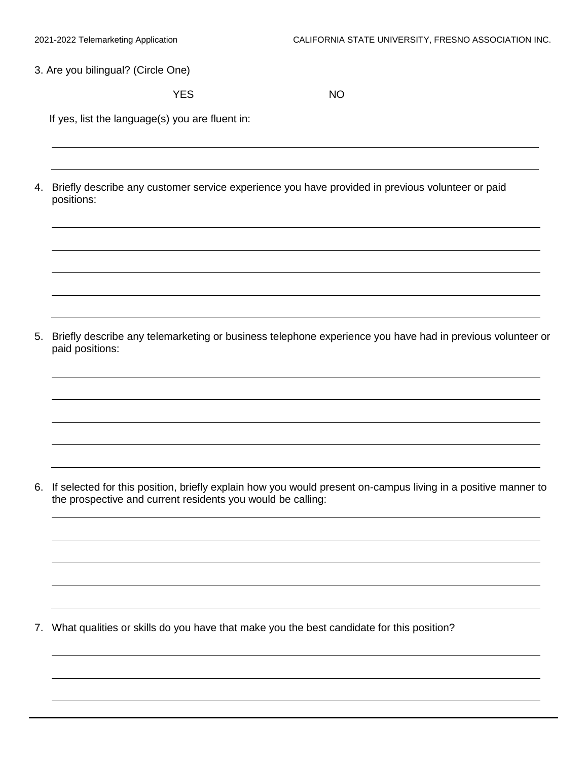3. Are you bilingual? (Circle One)

YES NO

If yes, list the language(s) you are fluent in:

4. Briefly describe any customer service experience you have provided in previous volunteer or paid positions:

5. Briefly describe any telemarketing or business telephone experience you have had in previous volunteer or paid positions:

6. If selected for this position, briefly explain how you would present on-campus living in a positive manner to the prospective and current residents you would be calling:

7. What qualities or skills do you have that make you the best candidate for this position?